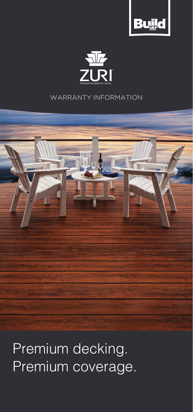



# WARRANTY INFORMATION



Premium decking. Premium coverage.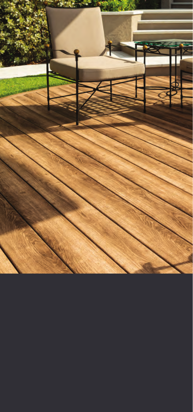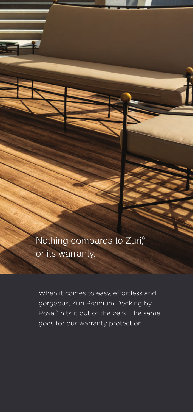Nothing compares to Zuri® or its warranty.

When it comes to easy, effortless and gorgeous, Zuri Premium Decking by Royal® hits it out of the park. The same goes for our warranty protection.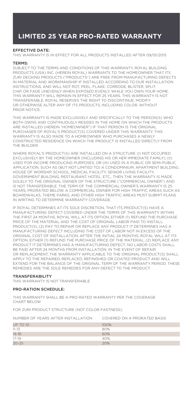## EFFECTIVE DATE:

THIS WARRANTY IS IN EFFECT FOR ALL PRODUCTS INSTALLED AFTER 09/01/2015

#### TERMS:

SUBJECT TO THE TERMS AND CONDITIONS OF THIS WARRANTY, ROYAL BUILDING PRODUCTS (USA) INC. (HEREIN ROYAL) WARRANTS TO THE HOMEOWNER THAT ITS ZURI DECKING PRODUCTS ("PRODUCTS") ARE FREE FROM MANUFACTURING DEFECTS IN MATERIAL AND WORKMANSHIP IF INSTALLED ACCORDING TO OUR INSTALLATION INSTRUCTIONS, AND WILL NOT ROT, PEEL, FLAKE, CORRODE, BLISTER, SPLIT, CHIP, OR FADE UNEVENLY WHEN EXPOSED EVENLY. WHILE YOU OWN YOUR HOME, THIS WARRANTY WILL REMAIN IN EFFECT FOR 25 YEARS. THIS WARRANTY IS NOT TRANSFERABLE. ROYAL RESERVES THE RIGHT TO DISCONTINUE, MODIFY OR OTHERWISE ALTER ANY OF ITS PRODUCTS, INCLUDING COLOR, WITHOUT PRIOR NOTICE.

THIS WARRANTY IS MADE EXCLUSIVELY AND SPECIFICALLY TO THE PERSON(S) WHO BOTH OWNS AND CONTINUOUSLY RESIDES IN THE HOME ON WHICH THE PRODUCTS ARE INSTALLED (HEREIN "HOMEOWNER") IF THAT PERSON IS THE ORIGINAL PURCHASER OF ROYAL'S PRODUCT(S) COVERED UNDER THIS WARRANTY. THIS WARRANTY IS ALSO MADE TO A HOMEOWNER WHO PURCHASES A NEWLY CONSTRUCTED RESIDENCE ON WHICH THE PRODUCT IS INSTALLED DIRECTLY FROM THE BUILDER.

WHERE ROYAL'S PRODUCT(S) ARE INSTALLED ON A STRUCTURE (I) NOT OCCUPIED EXCLUSIVELY BY THE HOMEOWNER (INCLUDING HIS OR HER IMMEDIATE FAMILY), (II) USED FOR INCOME PRODUCING PURPOSES, OR (III) USED IN A PUBLIC OR SEMI-PUBLIC APPLICATION, SUCH AS (BUT NOT LIMITED TO) A CONDOMINIUM, APARTMENT BUILDING, HOUSE OF WORSHIP, SCHOOL, MEDICAL FACILITY, SENIOR LIVING FACILITY, GOVERNMENT BUILDING, RESTAURANT, HOTEL, ETC., THEN THE WARRANTY IS MADE SOLELY TO THE ORIGINAL OWNER OF THE STRUCTURE ("COMMERCIAL OWNER") AND IS NOT TRANSFERABLE. THE TERM OF THE COMMERCIAL OWNER'S WARRANTY IS 25 YEARS, PRORATED BELOW. A COMMERCIAL OWNER FOR HIGH TRAFFIC AREAS SUCH AS BOARDWALKS, THEME PARKS, AND OTHER HIGH TRAFFIC AREAS MUST SUBMIT PLANS IN WRITING TO DETERMINE WARRANTY COVERAGE

IF ROYAL DETERMINES AT ITS SOLE DISCRETION, THAT ITS PRODUCT(S) HAVE A MANUFACTURING DEFECT COVERED UNDER THE TERMS OF THIS WARRANTY WITHIN THE FIRST 24 MONTHS, ROYAL WILL AT ITS OPTION, EITHER (1) REFUND THE PURCHASE PRICE OF THE MATERIAL AND THE COST OF ORIGINAL LABOR PAID TO INSTALL PRODUCT(S), (2) PAY TO REPAIR OR REPLACE ANY PRODUCT IT DETERMINES HAS A MANUFACTURING DEFECT INCLUDING THE COST OF LABOR NOT IN EXCESS OF THE ORIGINAL COST OF INSTALLATION. AFTER THE INITIAL 24 MONTHS, ROYAL WILL AT ITS OPTION, EITHER (1) REFUND THE PURCHASE PRICE OF THE MATERIAL, (2) REPLACE ANY PRODUCT IT DETERMINES HAS A MANUFACTURING DEFECT; NO LABOR COSTS SHALL BE PAID AFTER 24 MONTHS FROM INSTALLATION. IN THE EVENT OF REPAIR OR REPLACEMENT, THE WARRANTY APPLICABLE TO THE ORIGINAL PRODUCT(S) SHALL APPLY TO THE REPAIRED, REPLACED, REFINISHED OR COATED PRODUCT AND WILL EXTEND FOR THE BALANCE OF THE ORIGINAL TERM OF THE WARRANTY PERIOD. THESE REMEDIES ARE THE SOLE REMEDIES FOR ANY DEFECT TO THE PRODUCT.

#### TRANSFERABILITY

THIS WARRANTY IS NOT TRANSFERABLE

#### PRO-RATION SCHEDULE:

THIS WARRANTY SHALL BE A PRO-RATED WARRANTY PER THE COVERAGE CHART BELOW

FOR ZURI PRODUCT STRUCTURE (NOT COLOR FASTNESS):

| NUMBER OF YEARS AFTER INSTALLATION | COVERED ON A PRORATED BASIS |
|------------------------------------|-----------------------------|
| <b>UP TO 10</b>                    | 100%                        |
| $11 - 13$                          | 80%                         |
| $14 - 16$                          | 60%                         |
| $17-19$                            | 40%                         |
| $20 - 25$                          | 20%                         |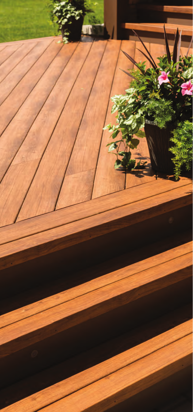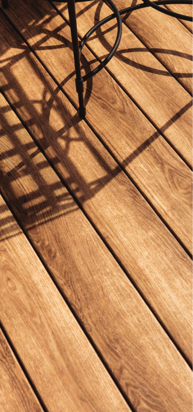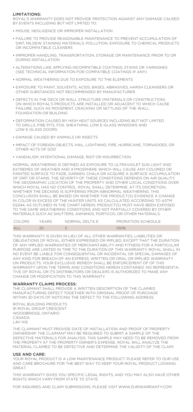### LIMITATIONS:

ROYAL'S WARRANTY DOES NOT PROVIDE PROTECTION AGAINST ANY DAMAGE CAUSED BY EVENTS INCLUDING BUT NOT LIMITED TO:

- MISUSE, NEGLIGENCE OR IMPROPER INSTALLATION
- FAILURE TO PROVIDE REASONABLE MAINTENANCE TO PREVENT ACCUMULATION OF DIRT, MILDEW, STAINING MATERIALS, POLLUTION, EXPOSURE TO CHEMICAL PRODUCTS OR INCOMPATIBLE CLEANERS
- IMPROPER HANDLING, TRANSPORTATION, STORAGE OR MAINTENANCE PRIOR TO OR DURING INSTALLATION
- ALTERATIONS LIKE APPLYING INCOMPATIBLE COATINGS, STAINS OR VARNISHES (SEE TECHNICAL INFORMATION FOR COMPATIBLE COATINGS IF ANY)
- NORMAL WEATHERING DUE TO EXPOSURE TO THE ELEMENTS
- EXPOSURE TO PAINT, SOLVENTS, ACIDS, BASES, ABRASIVES, HARSH CLEANSERS OR OTHER SUBSTANCES NOT RECOMMENDED BY MANUFACTURER
- DEFECTS IN THE DECK OR WALL STRUCTURE (MATERIALS OR CONSTRUCTION) ON WHICH ROYAL'S PRODUCTS ARE INSTALLED OR ADJACENT TO WHICH CAUSE FAILURE, SUCH AS MOVEMENT, CRACKING OR SETTLING OF THE WALL, FOUNDATION OR BUILDING
- DEFORMATION CAUSED BY HIGH HEAT SOURCES INCLUDING BUT NOT LIMITED TO GRILLS, FIRE PITS, FOIL SHEATHING, LOW E-GLASS WINDOWS AND LOW E-GLASS DOORS
- DAMAGE CAUSED BY ANIMALS OR INSECTS
- IMPACT OF FOREIGN OBJECTS, HAIL, LIGHTNING, FIRE, HURRICANE, TORNADOES, OR OTHER ACTS OF GOD
- VANDALISM, INTENTIONAL DAMAGE, RIOT OR INSURRECTION

NORMAL WEATHERING IS DEFINED AS EXPOSURE TO ULTRAVIOLET SUN LIGHT AND EXTREMES OF WEATHER AND ATMOSPHERE WHICH WILL CAUSE ANY COLORED OR PAINTED SURFACE TO FADE, DARKEN, CHALK OR ACQUIRE A SURFACE ACCUMULATION OF DIRT OR STAINS. THE SEVERITY OF THESE CONDITIONS DEPENDS ON AIR QUALITY THE GEOGRAPHIC LOCATION OF THE PROPERTY AND OTHER LOCAL CONDITIONS OVER WHICH ROYAL HAS NO CONTROL. ROYAL SHALL DETERMINE, AT ITS DISCRETION, WHETHER THE DECKING IS SUFFERING FROM ABNORMAL WEATHERING. THIS CONCLUSION SHALL BE BASED ON WHETHER THE PRODUCT(S) EVIDENCE A CHANGE IN COLOR IN EXCESS OF THE HUNTER UNITS AS CALCULATED ACCORDING TO ASTM D2244, AS OUTLINED IN THE CHART HEREIN. PRODUCT(S) MUST HAVE BEEN EXPOSED TO THE SAME WEATHERING CONDITIONS AND NOT PARTIALLY COVERED BY OTHER MATERIALS SUCH AS SHUTTERS, AWNINGS, PORTICOS, OR OTHER MATERIALS.

| <b>COLORS</b> | YEARS | NORMAL DELTA E | PRORATION SCHEDULE |
|---------------|-------|----------------|--------------------|
| $\Delta$      |       |                | 100%               |

THIS WARRANTY IS GIVEN IN LIEU OF ALL OTHER WARRANTIES, LIABILITIES OR OBLIGATIONS OF ROYAL, EITHER EXPRESSED OR IMPLIED, EXCEPT THAT THE DURATION OF ANY IMPLIED WARRANTIES OF MERCHANTABILITY AND FITNESS FOR A PARTICULAR PURPOSE ARE LIMITED IN TIME TO THE DURATION OF THIS WARRANTY. ROYAL SHALL IN NO EVENT BE LIABLE FOR CONSEQUENTIAL OR INCIDENTAL OR SPECIAL DAMAGES OF ANY KIND FOR BREACH OF AN EXPRESS, WRITTEN OR ORAL OR IMPLIED WARRANTY ON PRODUCTS. YOUR EXCLUSIVE REMEDY SHALL BE ENFORCEMENT OF OF THIS WARRANTY UPON THE TERMS AND CONDITIONS HEREIN CONTAINED. NO REPRESENTA-TIVE OF ROYAL OR ITS DISTRIBUTORS OR DEALERS IS AUTHORIZED TO MAKE ANY CHANGE OR MODIFICATION TO THIS WARRANTY.

#### WARRANTY CLAIMS PROCESS:

THE CLAIMANT SHALL PROVIDE A WRITTEN DESCRIPTION OF THE CLAIMED MANUFACTURING DEFECT TOGETHER WITH ORIGINAL PROOF OF PURCHASE WITHIN 30 DAYS OF NOTICING THE DEFECT TO THE FOLLOWING ADDRESS:

ROYAL BUILDING PRODUCTS 91 ROYAL GROUP CRESCENT WOODBRIDGE, ONTARIO CANADA L4H 1X9.

THE CLAIMANT MUST PROVIDE DATE OF INSTALLATION AND PROOF OF PROPERTY OWNERSHIP. THE CLAIMANT MAY BE REQUIRED TO SUBMIT A SAMPLE OF THE DEFECTIVE MATERIALS FOR ANALYSIS. THIS SAMPLE MAY NEED TO BE REMOVED FROM THE PROPERTY AT THE PROPERTY OWNER'S EXPENSE. ROYAL WILL ANALYZE THE MATERIAL CLAIMED TO BE DEFECTIVE AND DETERMINE THE VALIDITY OF THE CLAIM.

#### USE AND CARE:

YOUR ROYAL PRODUCT IS A LOW MAINTENANCE PRODUCT. PLEASE REFER TO OUR USE AND CARE BROCHURE FOR THE BEST WAY TO KEEP YOUR ROYAL PRODUCT LOOKING GREAT.

THIS WARRANTY GIVES YOU SPECIFIC LEGAL RIGHTS, AND YOU MAY ALSO HAVE OTHER RIGHTS WHICH VARY FROM STATE TO STATE.

FOR INQUIRIES AND CLAIM SUBMISSIONS, PLEASE VISIT WWW.ZURIWARRANTY.COM.